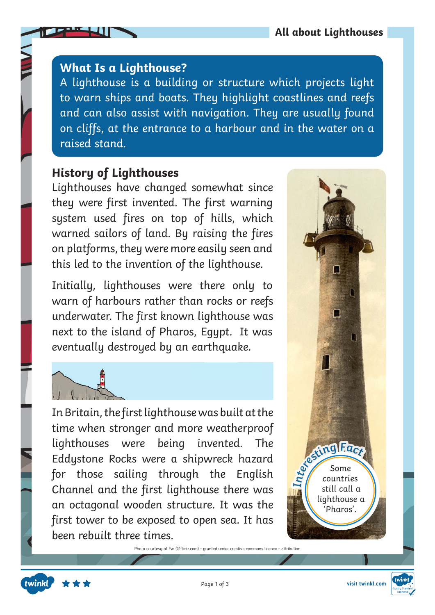## **What Is a Lighthouse?**

A lighthouse is a building or structure which projects light to warn ships and boats. They highlight coastlines and reefs and can also assist with navigation. They are usually found on cliffs, at the entrance to a harbour and in the water on a raised stand.

## **History of Lighthouses**

Lighthouses have changed somewhat since they were first invented. The first warning system used fires on top of hills, which warned sailors of land. By raising the fires on platforms, they were more easily seen and this led to the invention of the lighthouse.

Initially, lighthouses were there only to warn of harbours rather than rocks or reefs underwater. The first known lighthouse was next to the island of Pharos, Egypt. It was eventually destroyed by an earthquake.



In Britain, the first lighthouse was built at the time when stronger and more weatherproof lighthouses were being invented. The Eddystone Rocks were a shipwreck hazard for those sailing through the English Channel and the first lighthouse there was an octagonal wooden structure. It was the first tower to be exposed to open sea. It has been rebuilt three times.

Photo courtesy of Fæ (@flickr.com) - granted under creative commons licence - attribution





Page 1 of 3 **visit twinkl.com**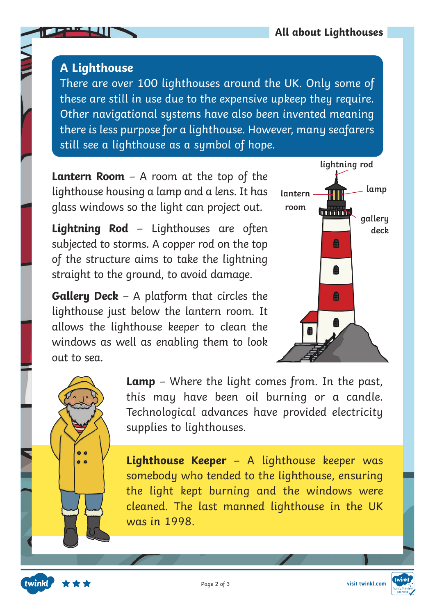## **A Lighthouse**

There are over 100 lighthouses around the UK. Only some of these are still in use due to the expensive upkeep they require. Other navigational systems have also been invented meaning there is less purpose for a lighthouse. However, many seafarers still see a lighthouse as a symbol of hope.

**Lantern Room** – A room at the top of the lighthouse housing a lamp and a lens. It has glass windows so the light can project out.

**Lightning Rod** – Lighthouses are often subjected to storms. A copper rod on the top of the structure aims to take the lightning straight to the ground, to avoid damage.

**Gallery Deck** – A platform that circles the lighthouse just below the lantern room. It allows the lighthouse keeper to clean the windows as well as enabling them to look out to sea.





twinkl

**Lamp** – Where the light comes from. In the past, this may have been oil burning or a candle. Technological advances have provided electricity supplies to lighthouses.

**Lighthouse Keeper** – A lighthouse keeper was somebody who tended to the lighthouse, ensuring the light kept burning and the windows were cleaned. The last manned lighthouse in the UK was in 1998.